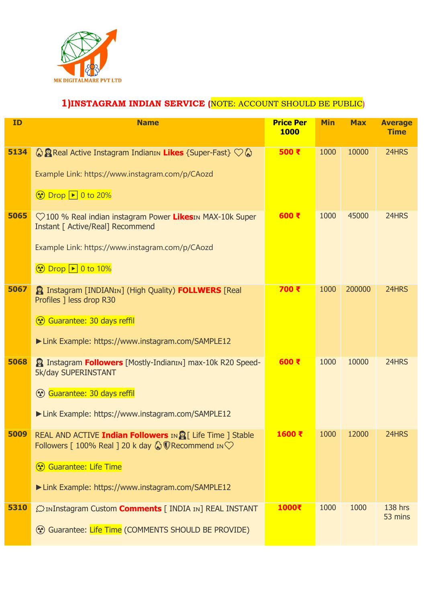

#### **1)INSTAGRAM INDIAN SERVICE (**NOTE: ACCOUNT SHOULD BE PUBLIC)

| <b>ID</b> | <b>Name</b>                                                                                                                                       | <b>Price Per</b><br><b>1000</b> | <b>Min</b> | <b>Max</b> | <b>Average</b><br><b>Time</b> |
|-----------|---------------------------------------------------------------------------------------------------------------------------------------------------|---------------------------------|------------|------------|-------------------------------|
| 5134      | © <b>P</b> Real Active Instagram IndianIN Likes {Super-Fast} ♡ ©                                                                                  | 500 ₹                           | 1000       | 10000      | 24HRS                         |
|           | Example Link: https://www.instagram.com/p/CAozd<br><b>①</b> Drop 1 0 to 20%                                                                       |                                 |            |            |                               |
|           |                                                                                                                                                   |                                 |            |            |                               |
| 5065      | ♡100 % Real indian instagram Power LikesIN MAX-10k Super<br>Instant [ Active/Real] Recommend                                                      | 600 ₹                           | 1000       | 45000      | 24HRS                         |
|           | Example Link: https://www.instagram.com/p/CAozd                                                                                                   |                                 |            |            |                               |
|           | <b>⊙</b> Drop D 0 to 10%                                                                                                                          |                                 |            |            |                               |
| 5067      | <b>Pa Instagram [INDIANIN] (High Quality) FOLLWERS</b> [Real<br>Profiles 1 less drop R30                                                          | 700 ₹                           | 1000       | 200000     | 24HRS                         |
|           | Guarantee: 30 days reffil                                                                                                                         |                                 |            |            |                               |
|           | Link Example: https://www.instagram.com/SAMPLE12                                                                                                  |                                 |            |            |                               |
| 5068      | <b>Pand Instagram Followers</b> [Mostly-IndianIn] max-10k R20 Speed-<br><b>5k/day SUPERINSTANT</b>                                                | 600 ₹                           | 1000       | 10000      | 24HRS                         |
|           | <b>Guarantee: 30 days reffil</b>                                                                                                                  |                                 |            |            |                               |
|           | Link Example: https://www.instagram.com/SAMPLE12                                                                                                  |                                 |            |            |                               |
| 5009      | REAL AND ACTIVE <b>Indian Followers</b> IN <b>8</b> [ Life Time ] Stable<br>Followers [ 100% Real ] 20 k day $\bigotimes$ Recommend IN $\bigcirc$ | 1600 ₹                          | 1000       | 12000      | 24HRS                         |
|           | <b>Guarantee: Life Time</b>                                                                                                                       |                                 |            |            |                               |
|           | Link Example: https://www.instagram.com/SAMPLE12                                                                                                  |                                 |            |            |                               |
| 5310      | <b>C</b> inInstagram Custom <b>Comments</b> [ INDIA IN] REAL INSTANT                                                                              | 1000₹                           | 1000       | 1000       | 138 hrs<br>53 mins            |
|           | ۞ Guarantee: Life Time (COMMENTS SHOULD BE PROVIDE)                                                                                               |                                 |            |            |                               |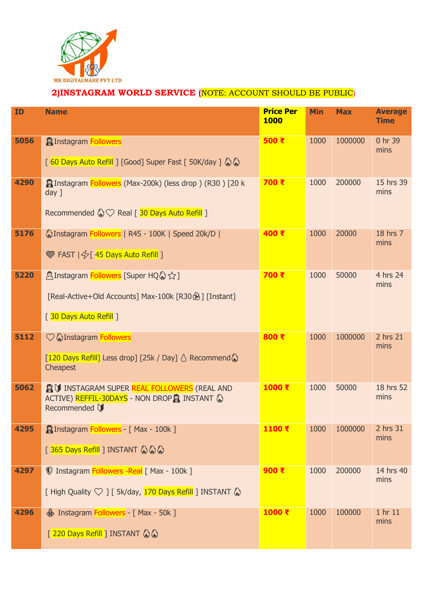

#### **2)INSTAGRAM WORLD SERVICE (**NOTE: ACCOUNT SHOULD BE PUBLIC)

| <b>ID</b> | <b>Name</b>                                                                                                                                     | <b>Price Per</b><br><b>1000</b> | <b>Min</b> | <b>Max</b> | <b>Average</b><br><b>Time</b> |
|-----------|-------------------------------------------------------------------------------------------------------------------------------------------------|---------------------------------|------------|------------|-------------------------------|
| 5056      | <b>PInstagram Followers</b><br>[60 Days Auto Refill ] [Good] Super Fast [50K/day ] $\bigcirc \bigcirc$                                          | 500 ₹                           | 1000       | 1000000    | 0 hr 39<br>mins               |
| 4290      | <b>Pa Instagram Followers</b> (Max-200k) (less drop) (R30) [20 k<br>$day$ ]<br>Recommended $\mathbb{Q} \heartsuit$ Real [ 30 Days Auto Refill ] | 700 ₹                           | 1000       | 200000     | 15 hrs 39<br>mins             |
| 5176      | <b>WInstagram Followers   R45 - 100K   Speed 20k/D  </b><br>Share FAST   45 Days Auto Refill ]                                                  | 400 ₹                           | 1000       | 20000      | 18 hrs 7<br>mins              |
| 5220      | <b>Alnstagram Followers</b> [Super HQ 2 ☆ ]<br>[Real-Active+Old Accounts] Max-100k [R30 2] [Instant]<br>[ 30 Days Auto Refill ]                 | 700 ₹                           | 1000       | 50000      | 4 hrs 24<br>mins              |
| 5112      | ◯ hInstagram Followers<br>[120 Days Refill] Less drop] [25k / Day] △ Recommend &<br>Cheapest                                                    | 800 ₹                           | 1000       | 1000000    | 2 hrs 21<br>mins              |
| 5062      | <b>@ V INSTAGRAM SUPER REAL FOLLOWERS (REAL AND</b><br>ACTIVE) REFFIL-30DAYS - NON DROP & INSTANT<br>Recommended \                              | 1000 ₹                          | 1000       | 50000      | 18 hrs 52<br>mins             |
| 4295      | <b>@Instagram Followers - [ Max - 100k ]</b><br>[365 Days Refill ] INSTANT 公公公                                                                  | 1100₹                           | 1000       | 1000000    | 2 hrs 31<br>mins              |
| 4297      | <b>V</b> Instagram <b>Followers -Real</b> [ Max - 100k ]<br>[ High Quality $\heartsuit$ ] [ 5k/day, 170 Days Refill ] INSTANT $\lozenge$        | 900 ₹                           | 1000       | 200000     | 14 hrs 40<br>mins             |
| 4296      | <b><i>Si</i></b> Instagram <b>Followers</b> - [ Max - 50k ]<br>[220 Days Refill ] INSTANT & &                                                   | 1000 ₹                          | 1000       | 100000     | 1 hr 11<br>mins               |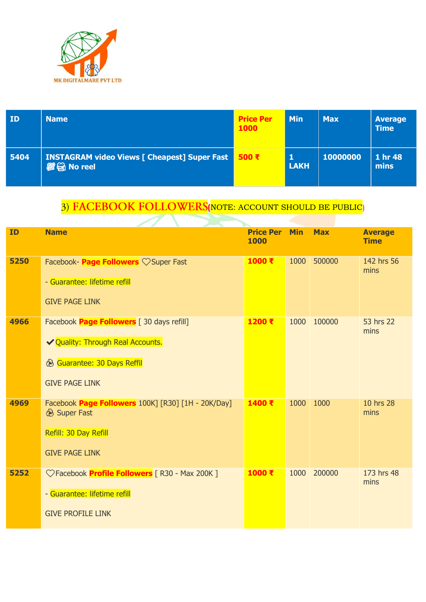

| ID   | <b>Name</b>                                                             | <b>Price Per</b><br><b>1000</b> | <b>Min</b>       | <b>Max</b> | <b>Average</b><br><b>Time</b> |
|------|-------------------------------------------------------------------------|---------------------------------|------------------|------------|-------------------------------|
| 5404 | <b>INSTAGRAM video Views [ Cheapest] Super Fast</b><br><b>@日No reel</b> | 500 ₹                           | 1<br><b>LAKH</b> | 10000000   | 1 hr 48<br>mins               |

# 3) FACEBOOK FOLLOWERS (NOTE: ACCOUNT SHOULD BE PUBLIC)

| <b>ID</b> | <b>Name</b>                                                                                                                                             | <b>Price Per</b><br>1000 | <b>Min</b> | <b>Max</b> | <b>Average</b><br><b>Time</b> |
|-----------|---------------------------------------------------------------------------------------------------------------------------------------------------------|--------------------------|------------|------------|-------------------------------|
| 5250      | Facebook- <b>Page Followers</b> $\heartsuit$ Super Fast<br>- Guarantee: lifetime refill<br><b>GIVE PAGE LINK</b>                                        | $1000 \t{t}$             | 1000       | 500000     | 142 hrs 56<br>mins            |
| 4966      | Facebook <b>Page Followers</b> [30 days refill]<br>◆ Quality: Through Real Accounts.<br><b>&amp; Guarantee: 30 Days Reffil</b><br><b>GIVE PAGE LINK</b> | 1200 ₹                   | 1000       | 100000     | 53 hrs 22<br>mins             |
| 4969      | Facebook Page Followers 100K] [R30] [1H - 20K/Day]<br><b>&amp; Super Fast</b><br>Refill: 30 Day Refill<br><b>GIVE PAGE LINK</b>                         | 1400 ₹                   | 1000       | 1000       | 10 hrs 28<br>mins             |
| 5252      | ◯ Facebook <b>Profile Followers</b> [ R30 - Max 200K ]<br>- Guarantee: lifetime refill<br><b>GIVE PROFILE LINK</b>                                      | 1000 ₹                   | 1000       | 200000     | 173 hrs 48<br>mins            |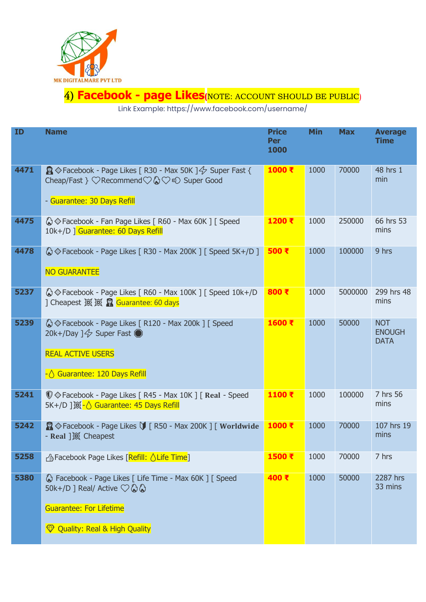

#### **Facebook - page Likes(**NOTE: ACCOUNT SHOULD BE PUBLIC)

Link Example: https://www.facebook.com/username/

| ID   | <b>Name</b>                                                                                                                                                                                 | <b>Price</b><br><b>Per</b><br>1000 | <b>Min</b> | <b>Max</b> | <b>Average</b><br><b>Time</b>              |
|------|---------------------------------------------------------------------------------------------------------------------------------------------------------------------------------------------|------------------------------------|------------|------------|--------------------------------------------|
| 4471 | $\mathbb{Q}$ $\Diamond$ Facebook - Page Likes [ R30 - Max 50K ] $\Diamond$ Super Fast {<br>Cheap/Fast } ♡Recommend♡ 2♡ € Super Good<br>- Guarantee: 30 Days Refill                          | 1000 ₹                             | 1000       | 70000      | 48 hrs 1<br>min                            |
| 4475 | © Facebook - Fan Page Likes   R60 - Max 60K ]   Speed<br>10k+/D   Guarantee: 60 Days Refill                                                                                                 | 1200 ₹                             | 1000       | 250000     | 66 hrs 53<br>mins                          |
| 4478 | © Facebook - Page Likes [ R30 - Max 200K ] [ Speed 5K+/D ]<br><b>NO GUARANTEE</b>                                                                                                           | 500 ₹                              | 1000       | 100000     | 9 hrs                                      |
| 5237 | © Facebook - Page Likes [ R60 - Max 100K ] [ Speed 10k+/D<br>] Cheapest 滚滚 Solid Guarantee: 60 days                                                                                         | 800 ₹                              | 1000       | 5000000    | 299 hrs 48<br>mins                         |
| 5239 | © Facebook - Page Likes [ R120 - Max 200k ] [ Speed<br>20k+/Day $1\frac{\sqrt{7}}{2}$ Super Fast<br><b>REAL ACTIVE USERS</b><br>$-\bigcirc$ Guarantee: 120 Days Refill                      | 1600 ₹                             | 1000       | 50000      | <b>NOT</b><br><b>ENOUGH</b><br><b>DATA</b> |
| 5241 | <b>V</b> $\Diamond$ Facebook - Page Likes [ R45 - Max 10K ] [ Real - Speed                                                                                                                  | 1100 ₹                             | 1000       | 100000     | 7 hrs 56<br>mins                           |
| 5242 | S Eacebook - Page Likes V [ R50 - Max 200K ] [ Worldwide                                                                                                                                    | 1000 ₹                             | 1000       | 70000      | 107 hrs 19<br>mins                         |
| 5258 | r <sup>4</sup> Facebook Page Likes [Refill: △ Life Time]                                                                                                                                    | 1500 ₹                             | 1000       | 70000      | 7 hrs                                      |
| 5380 | C <sub>a</sub> Facebook - Page Likes [ Life Time - Max 60K ] [ Speed<br>50k+/D ] Real/ Active $\heartsuit \& \&$<br><b>Guarantee: For Lifetime</b><br><b>V</b> Quality: Real & High Quality | 400 ₹                              | 1000       | 50000      | 2287 hrs<br>33 mins                        |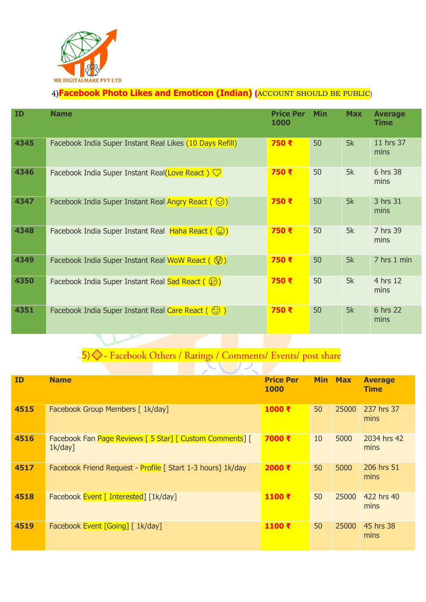

#### **Facebook Photo Likes and Emoticon (Indian) (**ACCOUNT SHOULD BE PUBLIC)

| <b>ID</b> | <b>Name</b>                                                                              | <b>Price Per</b><br><b>1000</b> | <b>Min</b> | <b>Max</b> | <b>Average</b><br><b>Time</b> |
|-----------|------------------------------------------------------------------------------------------|---------------------------------|------------|------------|-------------------------------|
| 4345      | Facebook India Super Instant Real Likes (10 Days Refill)                                 | 750 ₹                           | 50         | 5k         | 11 hrs 37<br>mins             |
| 4346      | Facebook India Super Instant Real(Love React) $\heartsuit$                               | 750 ₹                           | 50         | 5k         | 6 hrs 38<br>mins              |
| 4347      | Facebook India Super Instant Real Angry React $(\heartsuit)$                             | 750 ₹                           | 50         | 5k         | 3 hrs 31<br>mins              |
| 4348      | Facebook India Super Instant Real Haha React $(\circledast)$                             | 750 ₹                           | 50         | 5k         | 7 hrs 39<br>mins              |
| 4349      | Facebook India Super Instant Real WoW React (                                            | 750 ₹                           | 50         | 5k         | 7 hrs 1 min                   |
| 4350      | Facebook India Super Instant Real Sad React ((2))                                        | 750 ₹                           | 50         | 5k         | 4 hrs 12<br>mins              |
| 4351      | Facebook India Super Instant Real Care React ( $\begin{pmatrix} 23 \\ 3 \end{pmatrix}$ ) | 750 ₹                           | 50         | 5k         | 6 hrs 22<br>mins              |

# 5) S - Facebook Others / Ratings / Comments/ Events/ post share

| <b>ID</b> | <b>Name</b>                                                            | <b>Price Per</b><br><b>1000</b> | <b>Min</b> | <b>Max</b> | <b>Average</b><br><b>Time</b> |
|-----------|------------------------------------------------------------------------|---------------------------------|------------|------------|-------------------------------|
| 4515      | Facebook Group Members [ 1k/day]                                       | 1000 ₹                          | 50         | 25000      | 237 hrs 37<br>mins            |
| 4516      | Facebook Fan Page Reviews [ 5 Star] [ Custom Comments] [<br>$1k/day$ ] | 7000 ₹                          | 10         | 5000       | 2034 hrs 42<br>mins           |
| 4517      | Facebook Friend Request - Profile   Start 1-3 hours] 1k/day            | 2000 ₹                          | 50         | 5000       | 206 hrs 51<br>mins            |
| 4518      | Facebook Event [ Interested] [1k/day]                                  | 1100 ₹                          | 50         | 25000      | 422 hrs 40<br>mins            |
| 4519      | Facebook Event [Going] [ 1k/day]                                       | 1100 ₹                          | 50         | 25000      | 45 hrs 38<br>mins             |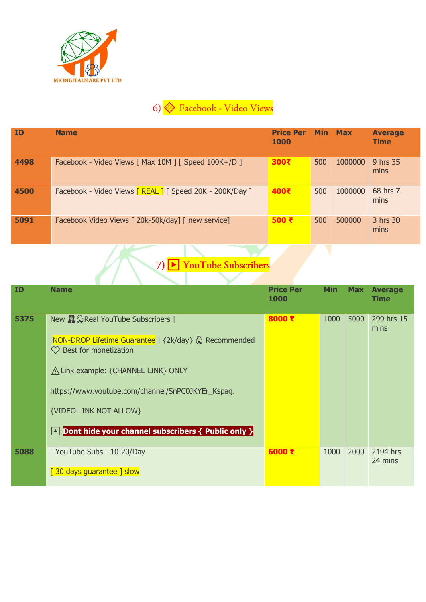

## 6) **C** Facebook - Video Views

| ID   | <b>Name</b>                                              | <b>Price Per</b><br><b>1000</b> | <b>Min</b> | <b>Max</b> | <b>Average</b><br>Time |
|------|----------------------------------------------------------|---------------------------------|------------|------------|------------------------|
| 4498 | Facebook - Video Views [ Max 10M ] [ Speed 100K+/D ]     | 300₹                            | 500        | 1000000    | 9 hrs 35<br>mins       |
| 4500 | Facebook - Video Views [ REAL ] [ Speed 20K - 200K/Day ] | 400₹                            | 500        | 1000000    | 68 hrs 7<br>mins       |
| 5091 | Facebook Video Views [ 20k-50k/day] [ new service]       | 500 ₹                           | 500        | 500000     | 3 hrs 30<br>mins       |

# 7) P YouTube Subscribers

| <b>ID</b> | <b>Name</b>                                                                                                                                                                                                                                                                                                                                          | <b>Price Per</b><br>1000 | <b>Min</b> | <b>Max</b> | <b>Average</b><br><b>Time</b> |
|-----------|------------------------------------------------------------------------------------------------------------------------------------------------------------------------------------------------------------------------------------------------------------------------------------------------------------------------------------------------------|--------------------------|------------|------------|-------------------------------|
| 5375      | New <b>p</b> 心 Real YouTube Subscribers  <br>NON-DROP Lifetime Guarantee   {2k/day} & Recommended<br>$\heartsuit$ Best for monetization<br>A Link example: {CHANNEL LINK} ONLY<br>https://www.youtube.com/channel/SnPC0JKYEr_Kspag.<br><b>{VIDEO LINK NOT ALLOW}</b><br>Dont hide your channel subscribers $\{$ Public only $\}$<br>$\blacktriangle$ | 8000 ₹                   | 1000       | 5000       | 299 hrs 15<br>mins            |
| 5088      | - YouTube Subs - 10-20/Day<br>[30 days guarantee ] slow                                                                                                                                                                                                                                                                                              | 6000 $\bar{x}$           | 1000       | 2000       | 2194 hrs<br>24 mins           |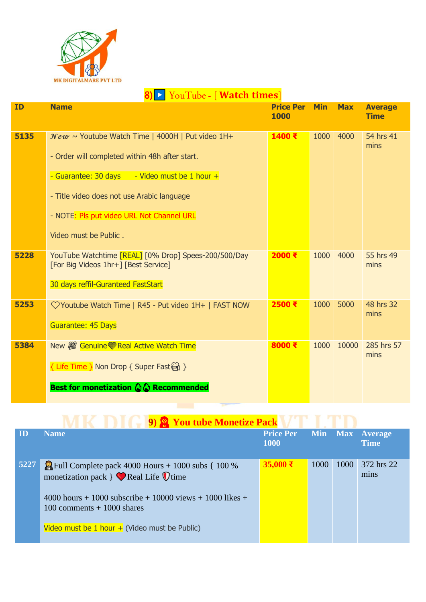

|      | YouTube - [ <b>Watch times</b> ]<br>$\blacktriangleright$ $\blacktriangleright$                                                                                                                                                                                                                          |                          |            |            |                               |
|------|----------------------------------------------------------------------------------------------------------------------------------------------------------------------------------------------------------------------------------------------------------------------------------------------------------|--------------------------|------------|------------|-------------------------------|
| ID   | <b>Name</b>                                                                                                                                                                                                                                                                                              | <b>Price Per</b><br>1000 | <b>Min</b> | <b>Max</b> | <b>Average</b><br><b>Time</b> |
| 5135 | $New \sim$ Youtube Watch Time   4000H   Put video 1H+<br>- Order will completed within 48h after start.<br>- Guarantee: 30 days<br>$\overline{\phantom{a}}$ - Video must be 1 hour +<br>- Title video does not use Arabic language<br>- NOTE: Pls put video URL Not Channel URL<br>Video must be Public. | 1400 ₹                   | 1000       | 4000       | 54 hrs 41<br>mins             |
| 5228 | YouTube Watchtime [REAL] [0% Drop] Spees-200/500/Day<br>[For Big Videos 1hr+] [Best Service]<br>30 days reffil-Guranteed FastStart                                                                                                                                                                       | 2000 ₹                   | 1000       | 4000       | 55 hrs 49<br>mins             |
| 5253 | ◯ Youtube Watch Time   R45 - Put video 1H+   FAST NOW<br><b>Guarantee: 45 Days</b>                                                                                                                                                                                                                       | 2500 ₹                   | 1000       | 5000       | 48 hrs 32<br>mins             |
| 5384 | New 2 Genuine Real Active Watch Time<br>{ Life Time } Non Drop { Super Fast<br>Best for monetization $\mathbb{Q} \mathbb{Q}$ Recommended                                                                                                                                                                 | 8000 ₹                   | 1000       | 10000      | 285 hrs 57<br>mins            |

|                         | <b>19 9 You tube Monetize Pack</b>                                                                                       |                                 |            |      |                            |
|-------------------------|--------------------------------------------------------------------------------------------------------------------------|---------------------------------|------------|------|----------------------------|
| $\overline{\mathbf{D}}$ | <b>Name</b>                                                                                                              | <b>Price Per</b><br><b>1000</b> | <b>Min</b> |      | Max Average<br><b>Time</b> |
| 5227                    | $\frac{100}{100}$ Full Complete pack 4000 Hours + 1000 subs { 100 %<br>monetization pack $\}$ Real Life $\mathbb Q$ time | $35,000$ ₹                      | 1000       | 1000 | 372 hrs 22<br>mins         |
|                         | 4000 hours + 1000 subscribe + 10000 views + 1000 likes +<br>100 comments $+$ 1000 shares                                 |                                 |            |      |                            |

Video must be  $1$  hour  $+$  (Video must be Public)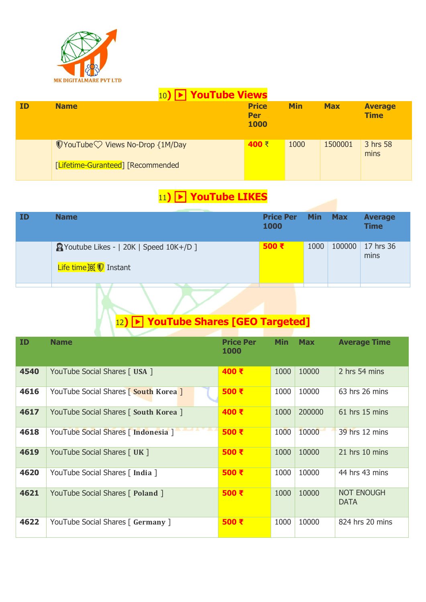

|           | 10) $\blacktriangleright$ YouTube Views                                                     |                                    |            |            |                               |  |  |  |  |  |  |
|-----------|---------------------------------------------------------------------------------------------|------------------------------------|------------|------------|-------------------------------|--|--|--|--|--|--|
| <b>ID</b> | <b>Name</b>                                                                                 | <b>Price</b><br><b>Per</b><br>1000 | <b>Min</b> | <b>Max</b> | <b>Average</b><br><b>Time</b> |  |  |  |  |  |  |
|           | $\mathbb Q$ YouTube $\heartsuit$ Views No-Drop {1M/Day<br>[Lifetime-Guranteed] [Recommended | 400 ₹                              | 1000       | 1500001    | 3 hrs 58<br>mins              |  |  |  |  |  |  |

### 11**)**▶️ **YouTube LIKES**

| ID | <b>Name</b>                                                    | <b>Price Per</b><br>1000 | <b>Min</b> | <b>Max</b> | <b>Average</b><br><b>Time</b> |
|----|----------------------------------------------------------------|--------------------------|------------|------------|-------------------------------|
|    | PYoutube Likes -   20K   Speed 10K+/D ]<br>Life time ※ 1nstant | 500 ₹                    | 1000       | 100000     | 17 hrs 36<br>mins             |
|    |                                                                |                          |            |            |                               |

# 12**)**▶️ **YouTube Shares [GEO Targeted]**

| ID   | <b>Name</b>                           | <b>Price Per</b><br><b>1000</b> | <b>Min</b> | <b>Max</b> | <b>Average Time</b>              |
|------|---------------------------------------|---------------------------------|------------|------------|----------------------------------|
| 4540 | YouTube Social Shares [ USA ]         | 400 ₹                           | 1000       | 10000      | 2 hrs 54 mins                    |
| 4616 | YouTube Social Shares   South Korea   | 500 ₹                           | 1000       | 10000      | 63 hrs 26 mins                   |
| 4617 | YouTube Social Shares [ South Korea ] | 400 ₹                           | 1000       | 200000     | $61$ hrs 15 mins                 |
| 4618 | YouTube Social Shares [ Indonesia ]   | 500 ₹                           | 1000       | 10000      | 39 hrs 12 mins                   |
| 4619 | YouTube Social Shares [ UK ]          | 500 ₹                           | 1000       | 10000      | 21 hrs 10 mins                   |
| 4620 | YouTube Social Shares [ India ]       | 500 ₹                           | 1000       | 10000      | 44 hrs 43 mins                   |
| 4621 | YouTube Social Shares [ Poland ]      | 500 ₹                           | 1000       | 10000      | <b>NOT ENOUGH</b><br><b>DATA</b> |
| 4622 | YouTube Social Shares [ Germany ]     | 500 ₹                           | 1000       | 10000      | 824 hrs 20 mins                  |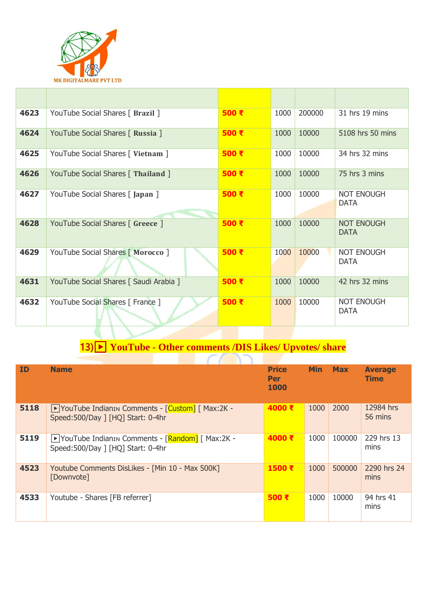

| 4623 | YouTube Social Shares [ Brazil ]       | 500 ₹         | 1000 | 200000 | 31 hrs 19 mins                   |
|------|----------------------------------------|---------------|------|--------|----------------------------------|
| 4624 | YouTube Social Shares [ Russia ]       | 500 $\bar{x}$ | 1000 | 10000  | 5108 hrs 50 mins                 |
| 4625 | YouTube Social Shares [ Vietnam ]      | 500 ₹         | 1000 | 10000  | 34 hrs 32 mins                   |
| 4626 | YouTube Social Shares [ Thailand ]     | 500 ₹         | 1000 | 10000  | 75 hrs 3 mins                    |
| 4627 | YouTube Social Shares [Japan ]         | 500 ₹         | 1000 | 10000  | <b>NOT ENOUGH</b><br><b>DATA</b> |
| 4628 | YouTube Social Shares [ Greece ]       | 500 ₹         | 1000 | 10000  | <b>NOT ENOUGH</b><br><b>DATA</b> |
| 4629 | YouTube Social Shares [ Morocco ]      | 500 ₹         | 1000 | 10000  | <b>NOT ENOUGH</b><br><b>DATA</b> |
| 4631 | YouTube Social Shares [ Saudi Arabia ] | 500 $F$       | 1000 | 10000  | 42 hrs 32 mins                   |
| 4632 | YouTube Social Shares [ France ]       | 500 ₹         | 1000 | 10000  | <b>NOT ENOUGH</b><br><b>DATA</b> |

#### 13)▶️ **YouTube - Other comments /DIS Likes/ Upvotes/ share**

| <b>ID</b> | <b>Name</b>                                                                            | <b>Price</b><br><b>Per</b><br>1000 | <b>Min</b> | <b>Max</b> | <b>Average</b><br><b>Time</b> |
|-----------|----------------------------------------------------------------------------------------|------------------------------------|------------|------------|-------------------------------|
| 5118      | ▶ YouTube IndianIN Comments - [Custom] [ Max:2K -<br>Speed:500/Day ] [HQ] Start: 0-4hr | 4000 ₹                             | 1000       | 2000       | 12984 hrs<br>56 mins          |
| 5119      | ▶ YouTube IndianIn Comments - [Random] [ Max:2K -<br>Speed:500/Day ] [HQ] Start: 0-4hr | 4000 ₹                             | 1000       | 100000     | 229 hrs 13<br>mins            |
| 4523      | Youtube Comments DisLikes - [Min 10 - Max 500K]<br>[Downvote]                          | 1500 ₹                             | 1000       | 500000     | 2290 hrs 24<br>mins           |
| 4533      | Youtube - Shares [FB referrer]                                                         | 500 ₹                              | 1000       | 10000      | 94 hrs 41<br>mins             |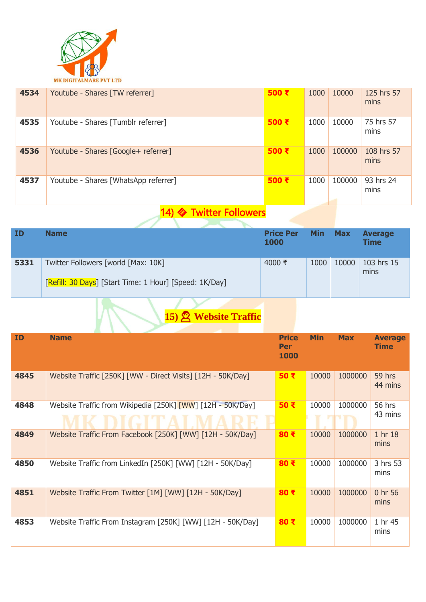

| 4534 | Youtube - Shares [TW referrer]       | 500 ₹         | 1000 | 10000  | 125 hrs 57<br>mins |
|------|--------------------------------------|---------------|------|--------|--------------------|
| 4535 | Youtube - Shares [Tumblr referrer]   | 500 ₹         | 1000 | 10000  | 75 hrs 57<br>mins  |
| 4536 | Youtube - Shares [Google+ referrer]  | 500 ₹         | 1000 | 100000 | 108 hrs 57<br>mins |
| 4537 | Youtube - Shares [WhatsApp referrer] | 500 $\bar{x}$ | 1000 | 100000 | 93 hrs 24<br>mins  |

## 14) Twitter Followers

| ID   | <b>Name</b>                                                                                          | <b>Price Per</b><br>1000 | <b>Min</b> | <b>Max</b> | <b>Average</b><br><b>Time</b> |
|------|------------------------------------------------------------------------------------------------------|--------------------------|------------|------------|-------------------------------|
| 5331 | Twitter Followers [world [Max: 10K]<br><b>[Refill: 30 Days]</b> [Start Time: 1 Hour] [Speed: 1K/Day] | 4000 ₹                   | 1000       | 10000      | 103 hrs 15<br>mins            |
|      |                                                                                                      |                          |            |            |                               |

# **15) Website Traffic**

| <b>ID</b> | <b>Name</b>                                                 | <b>Price</b><br><b>Per</b><br>1000 | <b>Min</b> | <b>Max</b> | <b>Average</b><br><b>Time</b> |
|-----------|-------------------------------------------------------------|------------------------------------|------------|------------|-------------------------------|
| 4845      | Website Traffic [250K] [WW - Direct Visits] [12H - 50K/Day] | 50 ₹                               | 10000      | 1000000    | 59 hrs<br>44 mins             |
| 4848      | Website Traffic from Wikipedia [250K] [WW] [12H - 50K/Day]  | 50 ₹                               | 10000      | 1000000    | <b>56 hrs</b><br>43 mins      |
| 4849      | Website Traffic From Facebook [250K] [WW] [12H - 50K/Day]   | 80 ₹                               | 10000      | 1000000    | 1 hr 18<br>mins               |
| 4850      | Website Traffic from LinkedIn [250K] [WW] [12H - 50K/Day]   | 80 ₹                               | 10000      | 1000000    | 3 hrs 53<br>mins              |
| 4851      | Website Traffic From Twitter [1M] [WW] [12H - 50K/Day]      | 80 $\bar{x}$                       | 10000      | 1000000    | 0 hr 56<br>mins               |
| 4853      | Website Traffic From Instagram [250K] [WW] [12H - 50K/Day]  | 80 ₹                               | 10000      | 1000000    | 1 hr 45<br>mins               |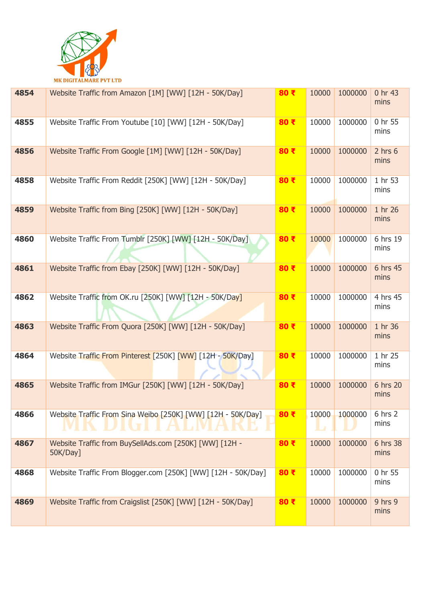

| 4854 | Website Traffic from Amazon [1M] [WW] [12H - 50K/Day]                       | 80 ₹ | 10000      | 1000000 | 0 hr 43<br>mins     |
|------|-----------------------------------------------------------------------------|------|------------|---------|---------------------|
| 4855 | Website Traffic From Youtube [10] [WW] [12H - 50K/Day]                      | 80 ₹ | 10000      | 1000000 | 0 hr 55<br>mins     |
| 4856 | Website Traffic From Google [1M] [WW] [12H - 50K/Day]                       | 80 ₹ | 10000      | 1000000 | $2$ hrs $6$<br>mins |
| 4858 | Website Traffic From Reddit [250K] [WW] [12H - 50K/Day]                     | 80 ₹ | 10000      | 1000000 | 1 hr 53<br>mins     |
| 4859 | Website Traffic from Bing [250K] [WW] [12H - 50K/Day]                       | 80 ₹ | 10000      | 1000000 | 1 hr 26<br>mins     |
| 4860 | Website Traffic From Tumblr [250K] [WW] [12H - 50K/Day]                     | 80 ₹ | 10000      | 1000000 | 6 hrs 19<br>mins    |
| 4861 | Website Traffic from Ebay [250K] [WW] [12H - 50K/Day]                       | 80 ₹ | 10000      | 1000000 | 6 hrs 45<br>mins    |
| 4862 | Website Traffic from OK.ru [250K] [WW] [12H - 50K/Day]                      | 80 ₹ | 10000      | 1000000 | 4 hrs 45<br>mins    |
| 4863 | Website Traffic From Quora [250K] [WW] [12H - 50K/Day]                      | 80 ₹ | 10000      | 1000000 | 1 hr 36<br>mins     |
| 4864 | Website Traffic From Pinterest [250K] [WW] [12H - 50K/Day]                  | 80 ₹ | 10000      | 1000000 | 1 hr 25<br>mins     |
| 4865 | Website Traffic from IMGur [250K] [WW] [12H - 50K/Day]                      | 80 ₹ | 10000      | 1000000 | 6 hrs 20<br>mins    |
| 4866 | Website Traffic From Sina Weibo [250K] [WW] [12H - 50K/Day]<br><b>AND T</b> | 80 ₹ | 10000<br>L | 1000000 | 6 hrs 2<br>mins     |
| 4867 | Website Traffic from BuySellAds.com [250K] [WW] [12H -<br>50K/Day]          | 80 ₹ | 10000      | 1000000 | 6 hrs 38<br>mins    |
| 4868 | Website Traffic From Blogger.com [250K] [WW] [12H - 50K/Day]                | 80 ₹ | 10000      | 1000000 | 0 hr 55<br>mins     |
| 4869 | Website Traffic from Craigslist [250K] [WW] [12H - 50K/Day]                 | 80 ₹ | 10000      | 1000000 | 9 hrs 9<br>mins     |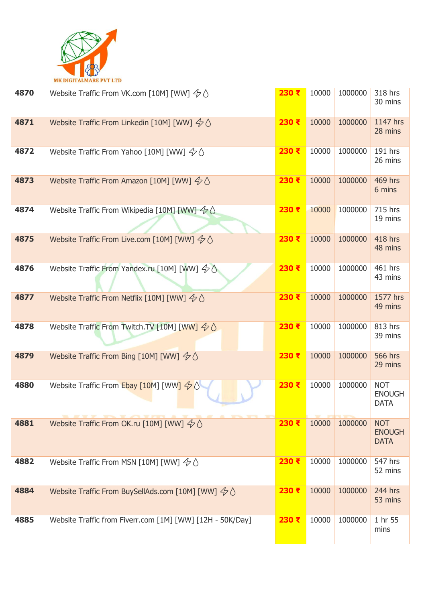

| 4870 | Website Traffic From VK.com [10M] [WW] $\&$ $\Diamond$               | 230 ₹ | 10000 | 1000000 | 318 hrs<br>30 mins                         |
|------|----------------------------------------------------------------------|-------|-------|---------|--------------------------------------------|
| 4871 | Website Traffic From Linkedin [10M] [WW] $\&$ $\Diamond$             | 230 ₹ | 10000 | 1000000 | 1147 hrs<br>28 mins                        |
| 4872 | Website Traffic From Yahoo [10M] [WW] $\&$ $\Diamond$                | 230 ₹ | 10000 | 1000000 | 191 hrs<br>26 mins                         |
| 4873 | Website Traffic From Amazon [10M] [WW] $\&$ $\Diamond$               | 230 ₹ | 10000 | 1000000 | <b>469 hrs</b><br>6 mins                   |
| 4874 | Website Traffic From Wikipedia [10M] [WW] $\Diamond \Diamond$        | 230 ₹ | 10000 | 1000000 | 715 hrs<br>19 mins                         |
| 4875 | Website Traffic From Live.com [10M] [WW] $\leftarrow \Diamond$       | 230 ₹ | 10000 | 1000000 | <b>418 hrs</b><br>48 mins                  |
| 4876 | Website Traffic From Yandex.ru [10M] [WW] $4/$                       | 230 ₹ | 10000 | 1000000 | 461 hrs<br>43 mins                         |
| 4877 | Website Traffic From Netflix [10M] [WW] $\&$ $\Diamond$              | 230 ₹ | 10000 | 1000000 | 1577 hrs<br>49 mins                        |
| 4878 | Website Traffic From Twitch.TV [10M] [WW] $\Diamond \Diamond$        | 230 ₹ | 10000 | 1000000 | 813 hrs<br>39 mins                         |
| 4879 | Website Traffic From Bing [10M] [WW] $\&$ $\Diamond$                 | 230 ₹ | 10000 | 1000000 | <b>566 hrs</b><br>29 mins                  |
| 4880 | Website Traffic From Ebay [10M] [WW] $\leftarrow \Diamond$           | 230 ₹ | 10000 | 1000000 | <b>NOT</b><br><b>ENOUGH</b><br><b>DATA</b> |
| 4881 | Website Traffic From OK.ru [10M] [WW] $\&$ $\Diamond$                | 230 ₹ | 10000 | 1000000 | <b>NOT</b><br><b>ENOUGH</b><br><b>DATA</b> |
| 4882 | Website Traffic From MSN [10M] [WW] $\Diamond \Diamond$              | 230 ₹ | 10000 | 1000000 | 547 hrs<br>52 mins                         |
| 4884 | Website Traffic From BuySellAds.com [10M] [WW] $\leftarrow \Diamond$ | 230 ₹ | 10000 | 1000000 | 244 hrs<br>53 mins                         |
| 4885 | Website Traffic from Fiverr.com [1M] [WW] [12H - 50K/Day]            | 230 ₹ | 10000 | 1000000 | 1 hr 55<br>mins                            |